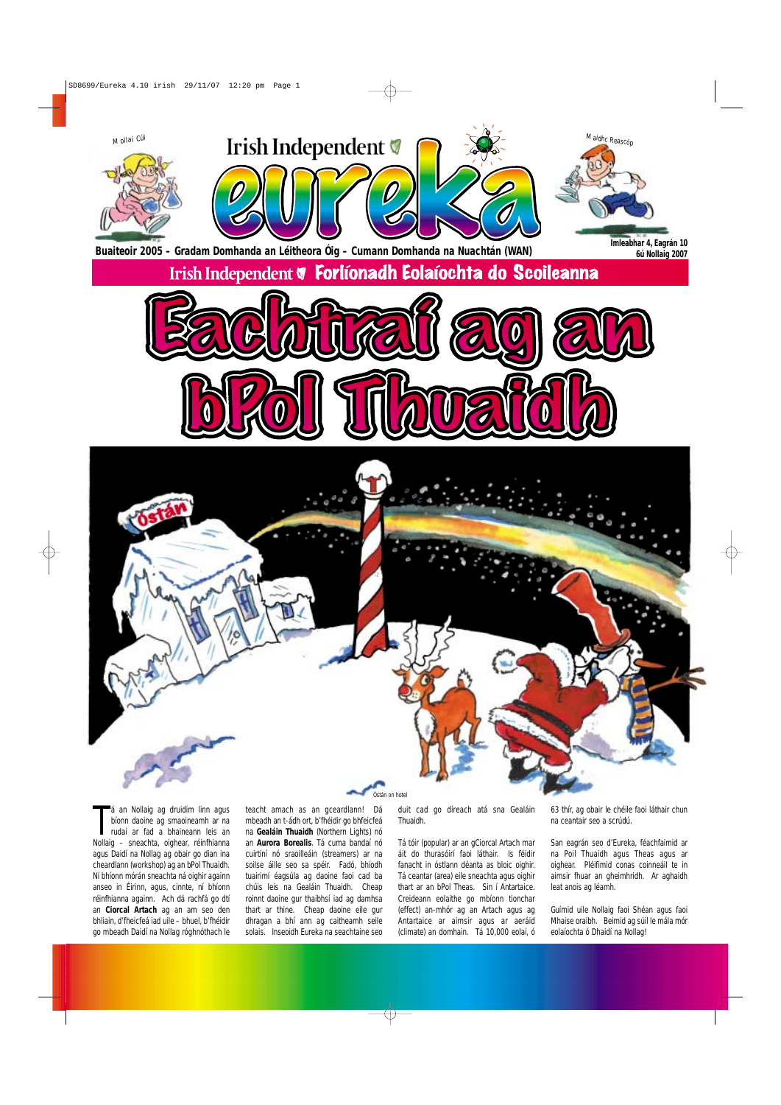Tá an Nollaig ag druidim linn agus<br>bíonn daoine ag smaoineamh ar na<br>rudaí ar fad a bhaineann leis an<br>Nollaig – sneachta, oighear, réinfhianna bíonn daoine ag smaoineamh ar na rudaí ar fad a bhaineann leis an agus Daidí na Nollag ag obair go dian ina cheardlann (workshop) ag an bPol Thuaidh. Ní bhíonn mórán sneachta ná oighir againn anseo in Éirinn, agus, cinnte, ní bhíonn réinfhianna againn. Ach dá rachfá go dtí an **Ciorcal Artach** ag an am seo den bhliain, d'fheicfeá iad uile – bhuel, b'fhéidir go mbeadh Daidí na Nollag róghnóthach le

á an Nollaig ag druidim linn agus teacht amach as an gceardlann! Dá mbeadh an t-ádh ort, b'fhéidir go bhfeicfeá na **Gealáin Thuaidh** (Northern Lights) nó an **Aurora Borealis**. Tá cuma bandaí nó cuirtíní nó sraoilleáin (streamers) ar na soilse áille seo sa spéir. Fadó, bhíodh tuairimí éagsúla ag daoine faoi cad ba chúis leis na Gealáin Thuaidh. Cheap roinnt daoine gur thaibhsí iad ag damhsa thart ar thine. Cheap daoine eile gur dhragan a bhí ann ag caitheamh seile solais. Inseoidh Eureka na seachtaine seo



duit cad go díreach atá sna Gealáin Thuaidh.

Tá tóir (popular) ar an gCiorcal Artach mar áit do thurasóirí faoi láthair. Is féidir fanacht in óstlann déanta as bloic oighir. Tá ceantar (area) eile sneachta agus oighir thart ar an bPol Theas. Sin í Antartaice. Creideann eolaithe go mbíonn tionchar (effect) an-mhór ag an Artach agus ag Antartaice ar aimsir agus ar aeráid (climate) an domhain. Tá 10,000 eolaí, ó

63 thír, ag obair le chéile faoi láthair chun na ceantair seo a scrúdú.

San eagrán seo d'Eureka, féachfaimid ar na Poil Thuaidh agus Theas agus ar oighear. Pléifimid conas coinneáil te in aimsir fhuar an gheimhridh. Ar aghaidh leat anois ag léamh.

Guímid uile Nollaig faoi Shéan agus faoi Mhaise oraibh. Beimid ag súil le mála mór eolaíochta ó Dhaidí na Nollag!

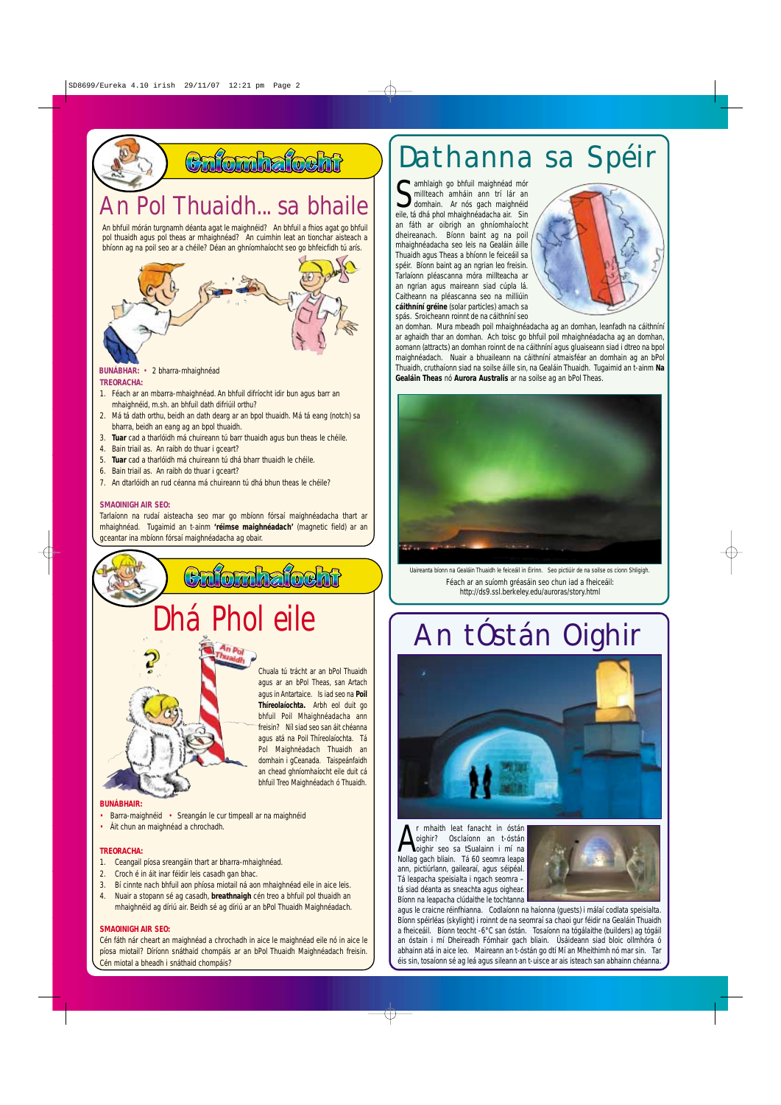**BUNÁBHAR:** • 2 bharra-mhaighnéad **TREORACHA:**

- 1. Féach ar an mbarra-mhaighnéad. An bhfuil difríocht idir bun agus barr an mhaighnéid, m.sh. an bhfuil dath difriúil orthu?
- 2. Má tá dath orthu, beidh an dath dearg ar an bpol thuaidh. Má tá eang (notch) sa bharra, beidh an eang ag an bpol thuaidh.
- 3. **Tuar** cad a tharlóidh má chuireann tú barr thuaidh agus bun theas le chéile.
- 4. Bain triail as. An raibh do thuar i gceart?
- 5. **Tuar** cad a tharlóidh má chuireann tú dhá bharr thuaidh le chéile.
- 6. Bain triail as. An raibh do thuar i gceart?
- 7. An dtarlóidh an rud céanna má chuireann tú dhá bhun theas le chéile?

#### **SMAOINIGH AIR SEO:**

Tarlaíonn na rudaí aisteacha seo mar go mbíonn fórsaí maighnéadacha thart ar mhaighnéad. Tugaimid an t-ainm **'réimse maighnéadach'** (magnetic field) ar an gceantar ina mbíonn fórsaí maighnéadacha ag obair.



- Barra-maighnéid Sreangán le cur timpeall ar na maighnéid
- Áit chun an maighnéad a chrochadh.

#### **TREORACHA:**

Samhlaigh go bhfuil maighnéad mór<br>
Samhlain ann trí lár an domhain. Ar nós gach maighnéid<br>
Sala tá dhá phol mhaighnéadacha air. Sin millteach amháin ann trí lár an domhain. Ar nós gach maighnéid eile, tá dhá phol mhaighnéadacha air. Sin an fáth ar oibrigh an ghníomhaíocht dheireanach. Bíonn baint ag na poil mhaighnéadacha seo leis na Gealáin áille Thuaidh agus Theas a bhíonn le feiceáil sa spéir. Bíonn baint ag an ngrian leo freisin. Tarlaíonn pléascanna móra millteacha ar an ngrian agus maireann siad cúpla lá. Caitheann na pléascanna seo na milliúin **cáithníní gréine** (solar particles) amach sa spás. Sroicheann roinnt de na cáithníní seo



- 1. Ceangail píosa sreangáin thart ar bharra-mhaighnéad.
- 2. Croch é in áit inar féidir leis casadh gan bhac.
- 3. Bí cinnte nach bhfuil aon phíosa miotail ná aon mhaighnéad eile in aice leis.
- 4. Nuair a stopann sé ag casadh, **breathnaigh** cén treo a bhfuil pol thuaidh an mhaighnéid ag díriú air. Beidh sé ag díriú ar an bPol Thuaidh Maighnéadach.

#### **SMAOINIGH AIR SEO:**

Cén fáth nár cheart an maighnéad a chrochadh in aice le maighnéad eile nó in aice le píosa miotail? Díríonn snáthaid chompáis ar an bPol Thuaidh Maighnéadach freisin. Cén miotal a bheadh i snáthaid chompáis?



an domhan. Mura mbeadh poil mhaighnéadacha ag an domhan, leanfadh na cáithníní ar aghaidh thar an domhan. Ach toisc go bhfuil poil mhaighnéadacha ag an domhan, aomann (attracts) an domhan roinnt de na cáithníní agus gluaiseann siad i dtreo na bpol maighnéadach. Nuair a bhuaileann na cáithníní atmaisféar an domhain ag an bPol Thuaidh, cruthaíonn siad na soilse áille sin, na Gealáin Thuaidh. Tugaimid an t-ainm **Na Gealáin Theas** nó **Aurora Australis** ar na soilse ag an bPol Theas.



### Dathanna sa Spéir

Féach ar an suíomh gréasáin seo chun iad a fheiceáil: http://ds9.ssl.berkeley.edu/auroras/story.html *Uaireanta bíonn na Gealáin Thuaidh le feiceáil in Éirinn. Seo pictiúir de na soilse os cionn Shligigh.*

A oighir? Osclaíonn an t-óstán oighir seo sa tSualainn i mí na Nollag gach bliain. Tá 60 seomra leapa ann, pictiúrlann, gailearaí, agus séipéal. Tá leapacha speisialta i ngach seomra – tá siad déanta as sneachta agus oighear. Bíonn na leapacha clúdaithe le tochtanna



agus le craicne réinfhianna. Codlaíonn na haíonna (guests) i málaí codlata speisialta. Bíonn spéirléas (skylight) i roinnt de na seomraí sa chaoi gur féidir na Gealáin Thuaidh a fheiceáil. Bíonn teocht -6°C san óstán. Tosaíonn na tógálaithe (builders) ag tógáil an óstain i mí Dheireadh Fómhair gach bliain. Úsáideann siad bloic ollmhóra ó abhainn atá in aice leo. Maireann an t-óstán go dtí Mí an Mheithimh nó mar sin. Tar éis sin, tosaíonn sé ag leá agus sileann an t-uisce ar ais isteach san abhainn chéanna.

## An tÓstán Oighir



**n** r mhaith leat fanacht in óstán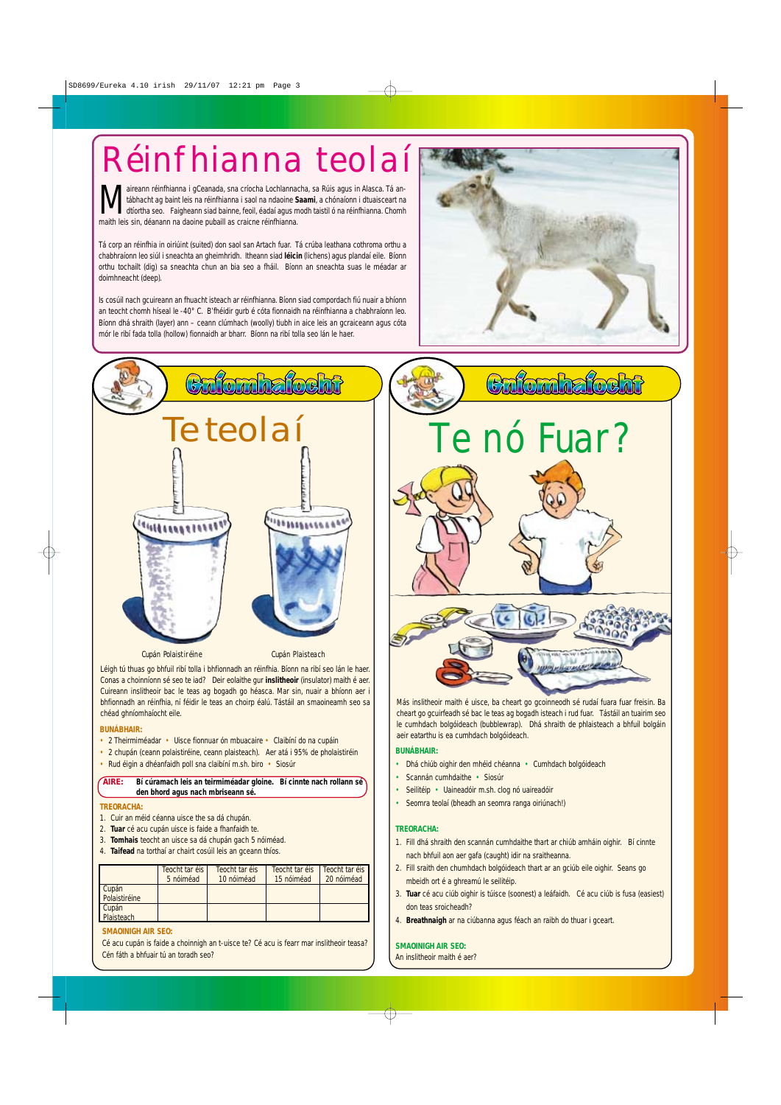#### **BUNÁBHAIR:**

- 2 Theirmiméadar Uisce fionnuar ón mbuacaire Claibíní do na cupáin
- 2 chupán (ceann polaistiréine, ceann plaisteach). Aer atá i 95% de pholaistiréin
- Rud éigin a dhéanfaidh poll sna claibíní m.sh. biro Siosúr





#### **BUNÁBHAIR:**

- Dhá chiúb oighir den mhéid chéanna Cumhdach bolgóideach
- Scannán cumhdaithe Siosúr
- Seilitéip Uaineadóir m.sh. clog nó uaireadóir
- Seomra teolaí (bheadh an seomra ranga oiriúnach!)

#### **TREORACHA:**

Maireann réinfhianna i gCeanada, sna críocha Lochlannacha, sa Rúis agus in Alasca. Tá an-<br>dtíortha seo. Faigheann siad bainne, feoil, éadaí agus modh taistil ó na réinfhianna. Chomh<br>maith leis sin déanann na deaine nubaill tábhacht ag baint leis na réinfhianna i saol na ndaoine **Saami**, a chónaíonn i dtuaisceart na maith leis sin, déanann na daoine pubaill as craicne réinfhianna.

- 1. Fill dhá shraith den scannán cumhdaithe thart ar chiúb amháin oighir. Bí cinnte nach bhfuil aon aer gafa (caught) idir na sraitheanna.
- 2. Fill sraith den chumhdach bolgóideach thart ar an gciúb eile oighir. Seans go mbeidh ort é a ghreamú le seilitéip.
- 3. **Tuar** cé acu ciúb oighir is túisce (soonest) a leáfaidh. Cé acu ciúb is fusa (easiest) don teas sroicheadh?
- 4. **Breathnaigh** ar na ciúbanna agus féach an raibh do thuar i gceart.

#### **SMAOINIGH AIR SEO:**

An inslitheoir maith é aer?

#### **TREORACHA:**

- 1. Cuir an méid céanna uisce the sa dá chupán.
- 2. **Tuar** cé acu cupán uisce is faide a fhanfaidh te.

- 3. **Tomhais** teocht an uisce sa dá chupán gach 5 nóiméad.
- 4. **Taifead** na torthaí ar chairt cosúil leis an gceann thíos.

Tá corp an réinfhia in oiriúint (suited) don saol san Artach fuar. Tá crúba leathana cothroma orthu a chabhraíonn leo siúl i sneachta an gheimhridh. Itheann siad **léicin** (lichens) agus plandaí eile. Bíonn orthu tochailt (dig) sa sneachta chun an bia seo a fháil. Bíonn an sneachta suas le méadar ar doimhneacht (deep).

Is cosúil nach gcuireann an fhuacht isteach ar réinfhianna. Bíonn siad compordach fiú nuair a bhíonn an teocht chomh híseal le -40° C. B'fhéidir gurb é cóta fionnaidh na réinfhianna a chabhraíonn leo. Bíonn dhá shraith (layer) ann – ceann clúmhach (woolly) tiubh in aice leis an gcraiceann agus cóta mór le ribí fada tolla (hollow) fionnaidh ar bharr. Bíonn na ribí tolla seo lán le haer.



## Réinfhianna teolaí

**AIRE: Bí cúramach leis an teirmiméadar gloine. Bí cinnte nach rollann sé den bhord agus nach mbriseann sé.**

#### **SMAOINIGH AIR SEO:**

Cé acu cupán is faide a choinnigh an t-uisce te? Cé acu is fearr mar inslitheoir teasa? Cén fáth a bhfuair tú an toradh seo?

|                        | Teocht tar éis I<br>5 nóiméad | Teocht tar éis<br>10 nóiméad | Teocht tar éis<br>15 nóiméad | <b>Teocht tar éis</b><br>20 nóiméad |
|------------------------|-------------------------------|------------------------------|------------------------------|-------------------------------------|
| Cupán<br>Polaistiréine |                               |                              |                              |                                     |
| Cupán<br>Plaisteach    |                               |                              |                              |                                     |

Más inslitheoir maith é uisce, ba cheart go gcoinneodh sé rudaí fuara fuar freisin. Ba cheart go gcuirfeadh sé bac le teas ag bogadh isteach i rud fuar. Tástáil an tuairim seo le cumhdach bolgóideach (bubblewrap). Dhá shraith de phlaisteach a bhfuil bolgáin aeir eatarthu is ea cumhdach bolgóideach.